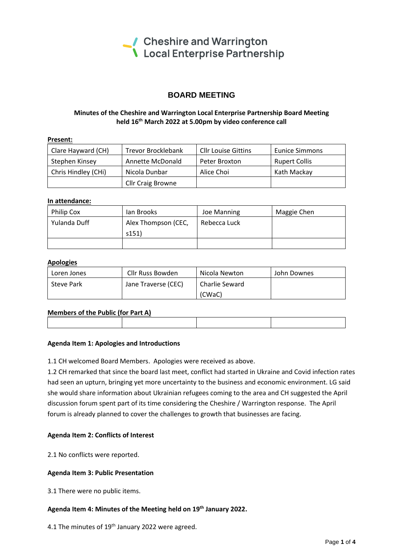

# **BOARD MEETING**

# **Minutes of the Cheshire and Warrington Local Enterprise Partnership Board Meeting held 16 th March 2022 at 5.00pm by video conference call**

| Present:            |                                                         |               |                       |
|---------------------|---------------------------------------------------------|---------------|-----------------------|
| Clare Hayward (CH)  | <b>Trevor Brocklebank</b><br><b>Cllr Louise Gittins</b> |               | <b>Eunice Simmons</b> |
| Stephen Kinsey      | Annette McDonald                                        | Peter Broxton | <b>Rupert Collis</b>  |
| Chris Hindley (CHi) | Nicola Dunbar                                           | Alice Choi    | Kath Mackay           |
|                     | <b>Cllr Craig Browne</b>                                |               |                       |

### **In attendance:**

| <b>Philip Cox</b> | lan Brooks          | Joe Manning  | Maggie Chen |
|-------------------|---------------------|--------------|-------------|
| Yulanda Duff      | Alex Thompson (CEC, | Rebecca Luck |             |
|                   | s151)               |              |             |
|                   |                     |              |             |

### **Apologies**

| Loren Jones | Cllr Russ Bowden    | Nicola Newton  | John Downes |
|-------------|---------------------|----------------|-------------|
| Steve Park  | Jane Traverse (CEC) | Charlie Seward |             |
|             |                     | (CWaC)         |             |

# **Members of the Public (for Part A)**

### **Agenda Item 1: Apologies and Introductions**

1.1 CH welcomed Board Members. Apologies were received as above.

1.2 CH remarked that since the board last meet, conflict had started in Ukraine and Covid infection rates had seen an upturn, bringing yet more uncertainty to the business and economic environment. LG said she would share information about Ukrainian refugees coming to the area and CH suggested the April discussion forum spent part of its time considering the Cheshire / Warrington response. The April forum is already planned to cover the challenges to growth that businesses are facing.

### **Agenda Item 2: Conflicts of Interest**

2.1 No conflicts were reported.

### **Agenda Item 3: Public Presentation**

3.1 There were no public items.

# **Agenda Item 4: Minutes of the Meeting held on 19 th January 2022.**

4.1 The minutes of  $19<sup>th</sup>$  January 2022 were agreed.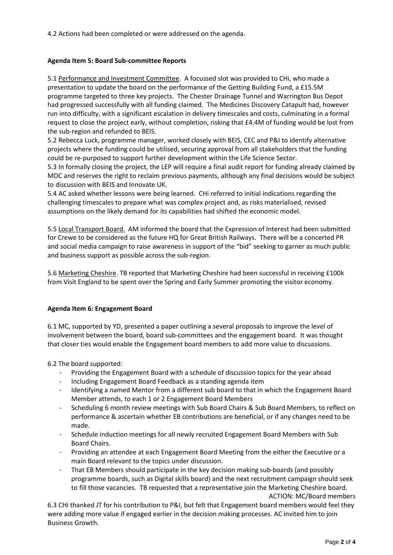4.2 Actions had been completed or were addressed on the agenda.

### **Agenda Item 5: Board Sub-committee Reports**

5.1 Performance and Investment Committee. A focussed slot was provided to CHi, who made a presentation to update the board on the performance of the Getting Building Fund, a £15.5M programme targeted to three key projects. The Chester Drainage Tunnel and Warrington Bus Depot had progressed successfully with all funding claimed. The Medicines Discovery Catapult had, however run into difficulty, with a significant escalation in delivery timescales and costs, culminating in a formal request to close the project early, without completion, risking that £4.4M of funding would be lost from the sub-region and refunded to BEIS.

5.2 Rebecca Luck, programme manager, worked closely with BEIS, CEC and P&I to identify alternative projects where the funding could be utilised, securing approval from all stakeholders that the funding could be re-purposed to support further development within the Life Science Sector.

5.3 In formally closing the project, the LEP will require a final audit report for funding already claimed by MDC and reserves the right to reclaim previous payments, although any final decisions would be subject to discussion with BEIS and Innovate UK.

5.4 AC asked whether lessons were being learned. CHi referred to initial indications regarding the challenging timescales to prepare what was complex project and, as risks materialised, revised assumptions on the likely demand for its capabilities had shifted the economic model.

5.5 Local Transport Board. AM informed the board that the Expression of Interest had been submitted for Crewe to be considered as the future HQ for Great British Railways. There will be a concerted PR and social media campaign to raise awareness in support of the "bid" seeking to garner as much public and business support as possible across the sub-region.

5.6 Marketing Cheshire. TB reported that Marketing Cheshire had been successful in receiving £100k from Visit England to be spent over the Spring and Early Summer promoting the visitor economy.

### **Agenda Item 6: Engagement Board**

6.1 MC, supported by YD, presented a paper outlining a several proposals to improve the level of involvement between the board, board sub-committees and the engagement board. It was thought that closer ties would enable the Engagement board members to add more value to discussions.

6.2 The board supported:

- Providing the Engagement Board with a schedule of discussion topics for the year ahead
- Including Engagement Board Feedback as a standing agenda item
- Identifying a named Mentor from a different sub board to that in which the Engagement Board Member attends, to each 1 or 2 Engagement Board Members
- Scheduling 6 month review meetings with Sub Board Chairs & Sub Board Members, to reflect on performance & ascertain whether EB contributions are beneficial, or if any changes need to be made.
- Schedule induction meetings for all newly recruited Engagement Board Members with Sub Board Chairs.
- Providing an attendee at each Engagement Board Meeting from the either the Executive or a main Board relevant to the topics under discussion.
- That EB Members should participate in the key decision making sub-boards (and possibly programme boards, such as Digital skills board) and the next recruitment campaign should seek to fill those vacancies. TB requested that a representative join the Marketing Cheshire board. ACTION: MC/Board members

6.3 CHi thanked JT for his contribution to P&I, but felt that Engagement board members would feel they were adding more value if engaged earlier in the decision making processes. AC invited him to join Business Growth.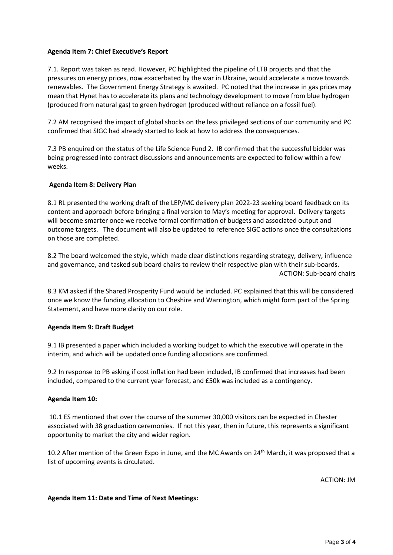### **Agenda Item 7: Chief Executive's Report**

7.1. Report was taken as read. However, PC highlighted the pipeline of LTB projects and that the pressures on energy prices, now exacerbated by the war in Ukraine, would accelerate a move towards renewables. The Government Energy Strategy is awaited. PC noted that the increase in gas prices may mean that Hynet has to accelerate its plans and technology development to move from blue hydrogen (produced from natural gas) to green hydrogen (produced without reliance on a fossil fuel).

7.2 AM recognised the impact of global shocks on the less privileged sections of our community and PC confirmed that SIGC had already started to look at how to address the consequences.

7.3 PB enquired on the status of the Life Science Fund 2. IB confirmed that the successful bidder was being progressed into contract discussions and announcements are expected to follow within a few weeks.

### **Agenda Item 8: Delivery Plan**

8.1 RL presented the working draft of the LEP/MC delivery plan 2022-23 seeking board feedback on its content and approach before bringing a final version to May's meeting for approval. Delivery targets will become smarter once we receive formal confirmation of budgets and associated output and outcome targets. The document will also be updated to reference SIGC actions once the consultations on those are completed.

8.2 The board welcomed the style, which made clear distinctions regarding strategy, delivery, influence and governance, and tasked sub board chairs to review their respective plan with their sub-boards. ACTION: Sub-board chairs

8.3 KM asked if the Shared Prosperity Fund would be included. PC explained that this will be considered once we know the funding allocation to Cheshire and Warrington, which might form part of the Spring Statement, and have more clarity on our role.

### **Agenda Item 9: Draft Budget**

9.1 IB presented a paper which included a working budget to which the executive will operate in the interim, and which will be updated once funding allocations are confirmed.

9.2 In response to PB asking if cost inflation had been included, IB confirmed that increases had been included, compared to the current year forecast, and £50k was included as a contingency.

### **Agenda Item 10:**

10.1 ES mentioned that over the course of the summer 30,000 visitors can be expected in Chester associated with 38 graduation ceremonies. If not this year, then in future, this represents a significant opportunity to market the city and wider region.

10.2 After mention of the Green Expo in June, and the MC Awards on 24<sup>th</sup> March, it was proposed that a list of upcoming events is circulated.

ACTION: JM

### **Agenda Item 11: Date and Time of Next Meetings:**